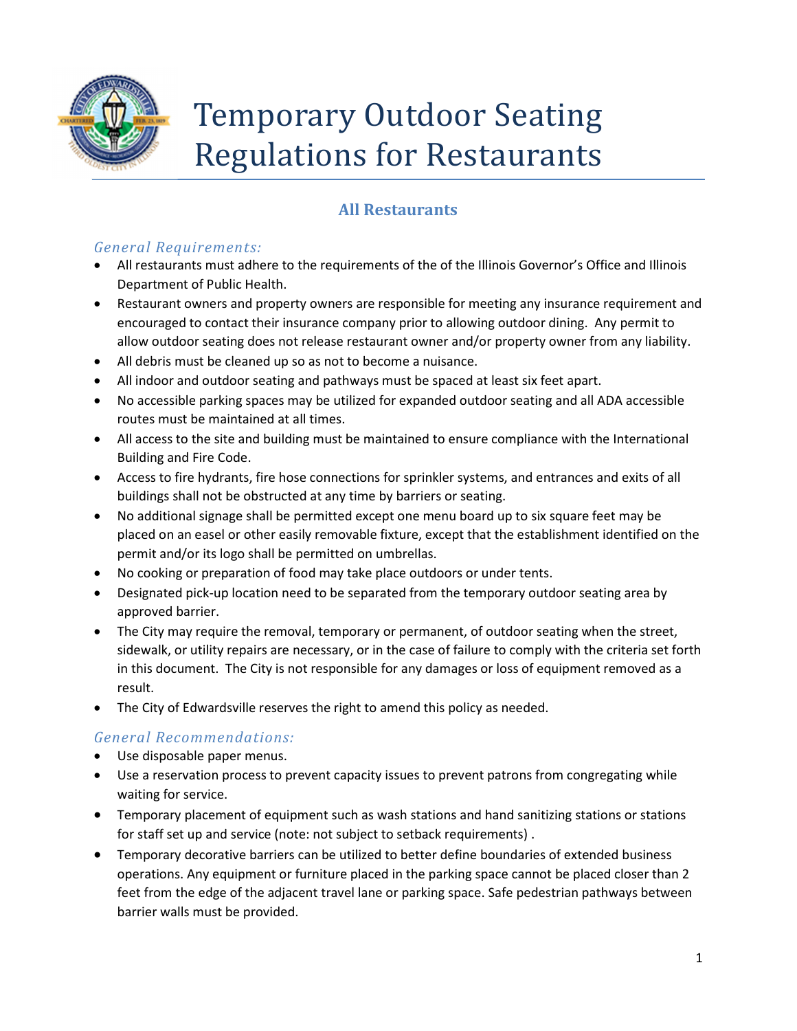

# Temporary Outdoor Seating Regulations for Restaurants

# All Restaurants

## General Requirements:

- All restaurants must adhere to the requirements of the of the Illinois Governor's Office and Illinois Department of Public Health.
- Restaurant owners and property owners are responsible for meeting any insurance requirement and encouraged to contact their insurance company prior to allowing outdoor dining. Any permit to allow outdoor seating does not release restaurant owner and/or property owner from any liability.
- All debris must be cleaned up so as not to become a nuisance.
- All indoor and outdoor seating and pathways must be spaced at least six feet apart.
- No accessible parking spaces may be utilized for expanded outdoor seating and all ADA accessible routes must be maintained at all times.
- All access to the site and building must be maintained to ensure compliance with the International Building and Fire Code.
- Access to fire hydrants, fire hose connections for sprinkler systems, and entrances and exits of all buildings shall not be obstructed at any time by barriers or seating.
- No additional signage shall be permitted except one menu board up to six square feet may be placed on an easel or other easily removable fixture, except that the establishment identified on the permit and/or its logo shall be permitted on umbrellas.
- No cooking or preparation of food may take place outdoors or under tents.
- Designated pick-up location need to be separated from the temporary outdoor seating area by approved barrier.
- The City may require the removal, temporary or permanent, of outdoor seating when the street, sidewalk, or utility repairs are necessary, or in the case of failure to comply with the criteria set forth in this document. The City is not responsible for any damages or loss of equipment removed as a result.
- The City of Edwardsville reserves the right to amend this policy as needed.

# General Recommendations:

- Use disposable paper menus.
- Use a reservation process to prevent capacity issues to prevent patrons from congregating while waiting for service.
- Temporary placement of equipment such as wash stations and hand sanitizing stations or stations for staff set up and service (note: not subject to setback requirements) .
- Temporary decorative barriers can be utilized to better define boundaries of extended business operations. Any equipment or furniture placed in the parking space cannot be placed closer than 2 feet from the edge of the adjacent travel lane or parking space. Safe pedestrian pathways between barrier walls must be provided.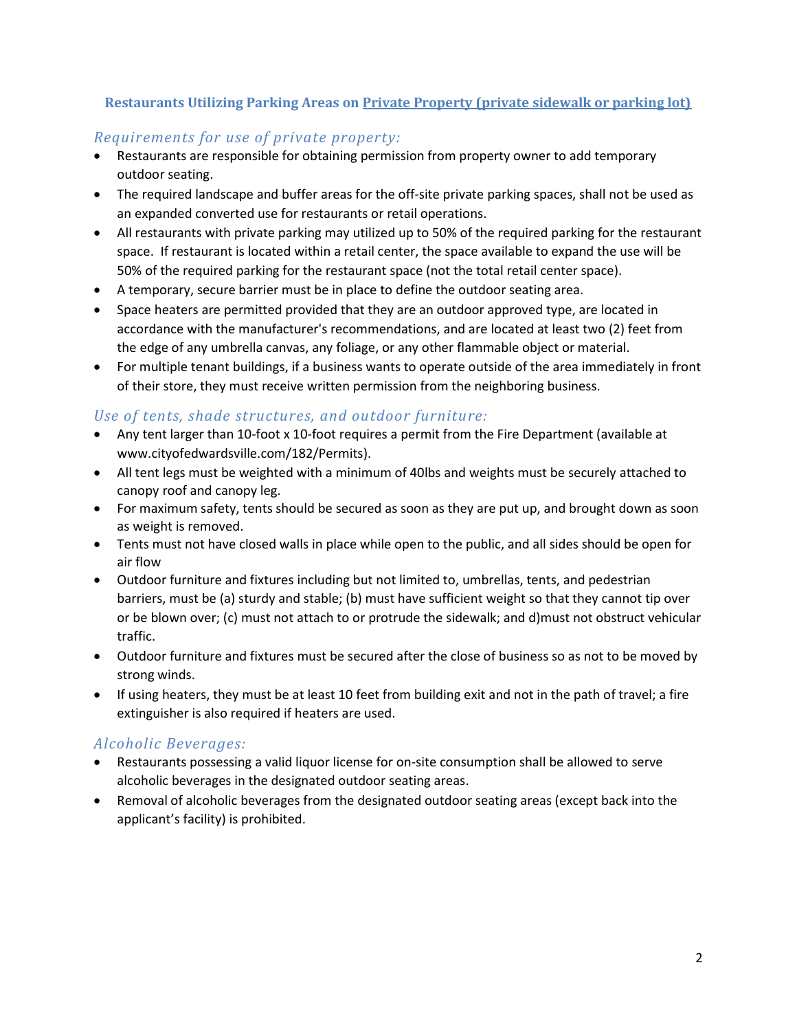#### Restaurants Utilizing Parking Areas on Private Property (private sidewalk or parking lot)

#### Requirements for use of private property:

- Restaurants are responsible for obtaining permission from property owner to add temporary outdoor seating.
- The required landscape and buffer areas for the off-site private parking spaces, shall not be used as an expanded converted use for restaurants or retail operations.
- All restaurants with private parking may utilized up to 50% of the required parking for the restaurant space. If restaurant is located within a retail center, the space available to expand the use will be 50% of the required parking for the restaurant space (not the total retail center space).
- A temporary, secure barrier must be in place to define the outdoor seating area.
- Space heaters are permitted provided that they are an outdoor approved type, are located in accordance with the manufacturer's recommendations, and are located at least two (2) feet from the edge of any umbrella canvas, any foliage, or any other flammable object or material.
- For multiple tenant buildings, if a business wants to operate outside of the area immediately in front of their store, they must receive written permission from the neighboring business.

#### Use of tents, shade structures, and outdoor furniture:

- Any tent larger than 10-foot x 10-foot requires a permit from the Fire Department (available at www.cityofedwardsville.com/182/Permits).
- All tent legs must be weighted with a minimum of 40lbs and weights must be securely attached to canopy roof and canopy leg.
- For maximum safety, tents should be secured as soon as they are put up, and brought down as soon as weight is removed.
- Tents must not have closed walls in place while open to the public, and all sides should be open for air flow
- Outdoor furniture and fixtures including but not limited to, umbrellas, tents, and pedestrian barriers, must be (a) sturdy and stable; (b) must have sufficient weight so that they cannot tip over or be blown over; (c) must not attach to or protrude the sidewalk; and d)must not obstruct vehicular traffic.
- Outdoor furniture and fixtures must be secured after the close of business so as not to be moved by strong winds.
- If using heaters, they must be at least 10 feet from building exit and not in the path of travel; a fire extinguisher is also required if heaters are used.

#### Alcoholic Beverages:

- Restaurants possessing a valid liquor license for on-site consumption shall be allowed to serve alcoholic beverages in the designated outdoor seating areas.
- Removal of alcoholic beverages from the designated outdoor seating areas (except back into the applicant's facility) is prohibited.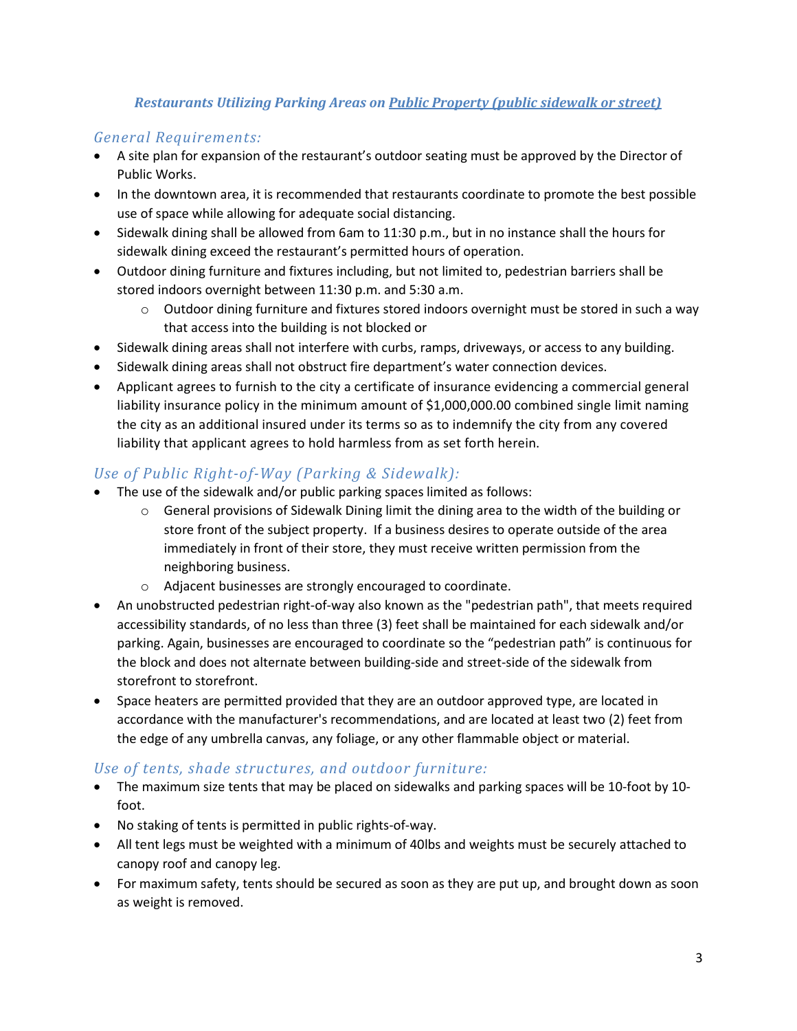#### Restaurants Utilizing Parking Areas on Public Property (public sidewalk or street)

#### General Requirements:

- A site plan for expansion of the restaurant's outdoor seating must be approved by the Director of Public Works.
- In the downtown area, it is recommended that restaurants coordinate to promote the best possible use of space while allowing for adequate social distancing.
- Sidewalk dining shall be allowed from 6am to 11:30 p.m., but in no instance shall the hours for sidewalk dining exceed the restaurant's permitted hours of operation.
- Outdoor dining furniture and fixtures including, but not limited to, pedestrian barriers shall be stored indoors overnight between 11:30 p.m. and 5:30 a.m.
	- $\circ$  Outdoor dining furniture and fixtures stored indoors overnight must be stored in such a way that access into the building is not blocked or
- Sidewalk dining areas shall not interfere with curbs, ramps, driveways, or access to any building.
- Sidewalk dining areas shall not obstruct fire department's water connection devices.
- Applicant agrees to furnish to the city a certificate of insurance evidencing a commercial general liability insurance policy in the minimum amount of \$1,000,000.00 combined single limit naming the city as an additional insured under its terms so as to indemnify the city from any covered liability that applicant agrees to hold harmless from as set forth herein.

### Use of Public Right-of-Way (Parking & Sidewalk):

- The use of the sidewalk and/or public parking spaces limited as follows:
	- $\circ$  General provisions of Sidewalk Dining limit the dining area to the width of the building or store front of the subject property. If a business desires to operate outside of the area immediately in front of their store, they must receive written permission from the neighboring business.
	- o Adjacent businesses are strongly encouraged to coordinate.
- An unobstructed pedestrian right-of-way also known as the "pedestrian path", that meets required accessibility standards, of no less than three (3) feet shall be maintained for each sidewalk and/or parking. Again, businesses are encouraged to coordinate so the "pedestrian path" is continuous for the block and does not alternate between building-side and street-side of the sidewalk from storefront to storefront.
- Space heaters are permitted provided that they are an outdoor approved type, are located in accordance with the manufacturer's recommendations, and are located at least two (2) feet from the edge of any umbrella canvas, any foliage, or any other flammable object or material.

#### Use of tents, shade structures, and outdoor furniture:

- The maximum size tents that may be placed on sidewalks and parking spaces will be 10-foot by 10 foot.
- No staking of tents is permitted in public rights-of-way.
- All tent legs must be weighted with a minimum of 40lbs and weights must be securely attached to canopy roof and canopy leg.
- For maximum safety, tents should be secured as soon as they are put up, and brought down as soon as weight is removed.